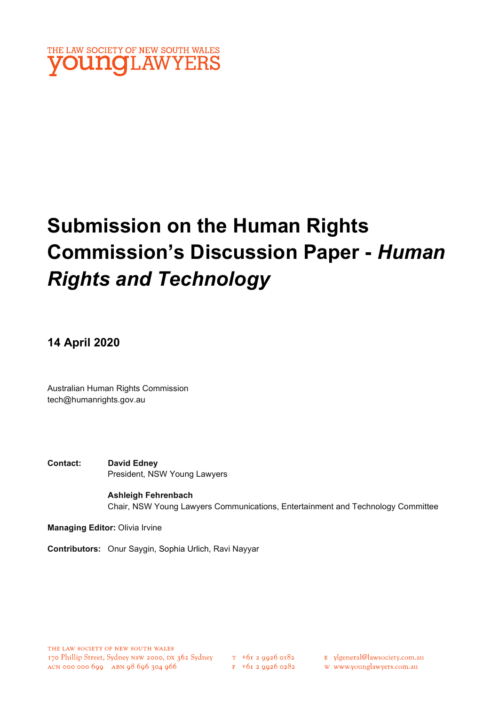

# Submission on the Human Rights Commission's Discussion Paper - Human Rights and Technology

14 April 2020

Australian Human Rights Commission tech@humanrights.gov.au

Contact: David Edney President, NSW Young Lawyers

> Ashleigh Fehrenbach Chair, NSW Young Lawyers Communications, Entertainment and Technology Committee

Managing Editor: Olivia Irvine

Contributors: Onur Saygin, Sophia Urlich, Ravi Nayyar

E ylgeneral@lawsociety.com.au

w www.younglawyers.com.au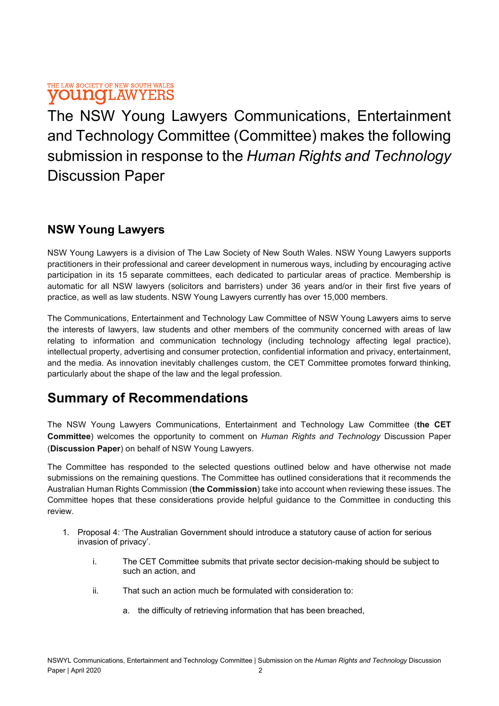The NSW Young Lawyers Communications, Entertainment and Technology Committee (Committee) makes the following submission in response to the Human Rights and Technology Discussion Paper

### NSW Young Lawyers

NSW Young Lawyers is a division of The Law Society of New South Wales. NSW Young Lawyers supports practitioners in their professional and career development in numerous ways, including by encouraging active participation in its 15 separate committees, each dedicated to particular areas of practice. Membership is automatic for all NSW lawyers (solicitors and barristers) under 36 years and/or in their first five years of practice, as well as law students. NSW Young Lawyers currently has over 15,000 members.

The Communications, Entertainment and Technology Law Committee of NSW Young Lawyers aims to serve the interests of lawyers, law students and other members of the community concerned with areas of law relating to information and communication technology (including technology affecting legal practice), intellectual property, advertising and consumer protection, confidential information and privacy, entertainment, and the media. As innovation inevitably challenges custom, the CET Committee promotes forward thinking, particularly about the shape of the law and the legal profession.

# Summary of Recommendations

The NSW Young Lawyers Communications, Entertainment and Technology Law Committee (the CET Committee) welcomes the opportunity to comment on Human Rights and Technology Discussion Paper (Discussion Paper) on behalf of NSW Young Lawyers.

The Committee has responded to the selected questions outlined below and have otherwise not made submissions on the remaining questions. The Committee has outlined considerations that it recommends the Australian Human Rights Commission (the Commission) take into account when reviewing these issues. The Committee hopes that these considerations provide helpful guidance to the Committee in conducting this review.

- 1. Proposal 4: 'The Australian Government should introduce a statutory cause of action for serious invasion of privacy'.
	- i. The CET Committee submits that private sector decision-making should be subject to such an action, and
	- ii. That such an action much be formulated with consideration to:
		- a. the difficulty of retrieving information that has been breached,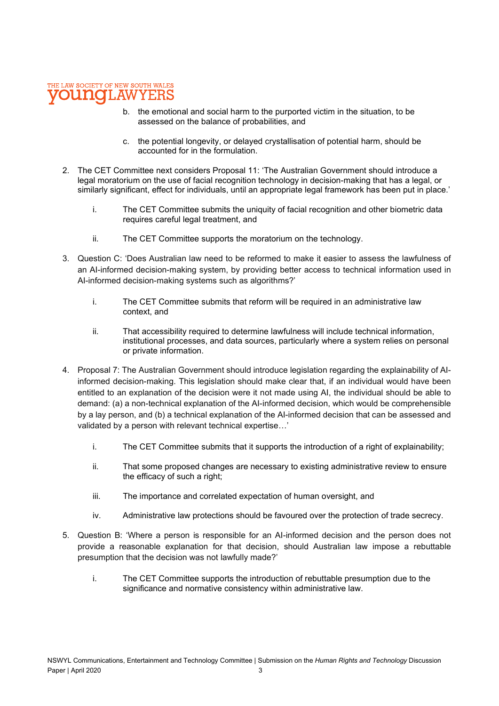- b. the emotional and social harm to the purported victim in the situation, to be assessed on the balance of probabilities, and
- c. the potential longevity, or delayed crystallisation of potential harm, should be accounted for in the formulation.
- 2. The CET Committee next considers Proposal 11: 'The Australian Government should introduce a legal moratorium on the use of facial recognition technology in decision-making that has a legal, or similarly significant, effect for individuals, until an appropriate legal framework has been put in place.'
	- i. The CET Committee submits the uniquity of facial recognition and other biometric data requires careful legal treatment, and
	- ii. The CET Committee supports the moratorium on the technology.
- 3. Question C: 'Does Australian law need to be reformed to make it easier to assess the lawfulness of an AI-informed decision-making system, by providing better access to technical information used in AI-informed decision-making systems such as algorithms?'
	- i. The CET Committee submits that reform will be required in an administrative law context, and
	- ii. That accessibility required to determine lawfulness will include technical information, institutional processes, and data sources, particularly where a system relies on personal or private information.
- 4. Proposal 7: The Australian Government should introduce legislation regarding the explainability of AIinformed decision-making. This legislation should make clear that, if an individual would have been entitled to an explanation of the decision were it not made using AI, the individual should be able to demand: (a) a non-technical explanation of the AI-informed decision, which would be comprehensible by a lay person, and (b) a technical explanation of the AI-informed decision that can be assessed and validated by a person with relevant technical expertise…'
	- i. The CET Committee submits that it supports the introduction of a right of explainability;
	- ii. That some proposed changes are necessary to existing administrative review to ensure the efficacy of such a right;
	- iii. The importance and correlated expectation of human oversight, and
	- iv. Administrative law protections should be favoured over the protection of trade secrecy.
- 5. Question B: 'Where a person is responsible for an AI-informed decision and the person does not provide a reasonable explanation for that decision, should Australian law impose a rebuttable presumption that the decision was not lawfully made?'
	- i. The CET Committee supports the introduction of rebuttable presumption due to the significance and normative consistency within administrative law.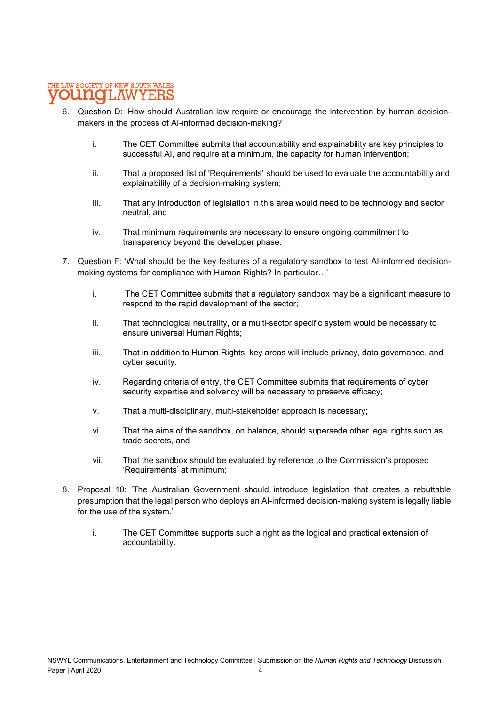- 6. Question D: 'How should Australian law require or encourage the intervention by human decisionmakers in the process of AI-informed decision-making?'
	- i. The CET Committee submits that accountability and explainability are key principles to successful AI, and require at a minimum, the capacity for human intervention;
	- ii. That a proposed list of 'Requirements' should be used to evaluate the accountability and explainability of a decision-making system;
	- iii. That any introduction of legislation in this area would need to be technology and sector neutral, and
	- iv. That minimum requirements are necessary to ensure ongoing commitment to transparency beyond the developer phase.
- 7. Question F: 'What should be the key features of a regulatory sandbox to test AI-informed decisionmaking systems for compliance with Human Rights? In particular…'
	- i. The CET Committee submits that a regulatory sandbox may be a significant measure to respond to the rapid development of the sector;
	- ii. That technological neutrality, or a multi-sector specific system would be necessary to ensure universal Human Rights;
	- iii. That in addition to Human Rights, key areas will include privacy, data governance, and cyber security.
	- iv. Regarding criteria of entry, the CET Committee submits that requirements of cyber security expertise and solvency will be necessary to preserve efficacy;
	- v. That a multi-disciplinary, multi-stakeholder approach is necessary;
	- vi. That the aims of the sandbox, on balance, should supersede other legal rights such as trade secrets, and
	- vii. That the sandbox should be evaluated by reference to the Commission's proposed 'Requirements' at minimum;
- 8. Proposal 10: 'The Australian Government should introduce legislation that creates a rebuttable presumption that the legal person who deploys an AI-informed decision-making system is legally liable for the use of the system.'
	- i. The CET Committee supports such a right as the logical and practical extension of accountability.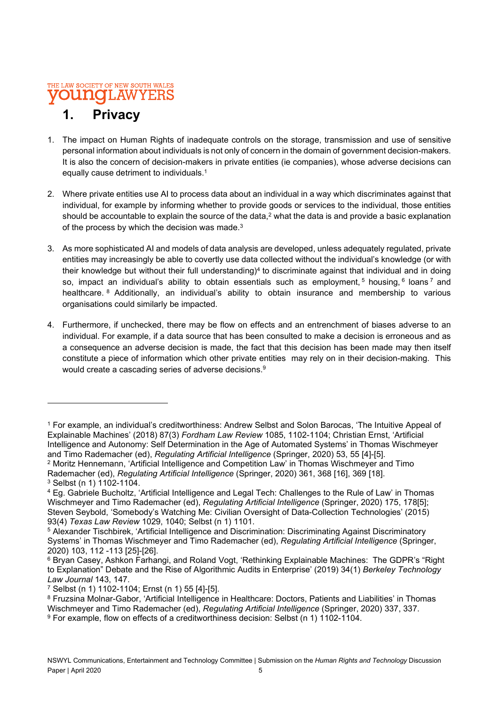# 1. Privacy

- 1. The impact on Human Rights of inadequate controls on the storage, transmission and use of sensitive personal information about individuals is not only of concern in the domain of government decision-makers. It is also the concern of decision-makers in private entities (ie companies), whose adverse decisions can equally cause detriment to individuals.<sup>1</sup>
- 2. Where private entities use AI to process data about an individual in a way which discriminates against that individual, for example by informing whether to provide goods or services to the individual, those entities should be accountable to explain the source of the data,<sup>2</sup> what the data is and provide a basic explanation of the process by which the decision was made.<sup>3</sup>
- 3. As more sophisticated AI and models of data analysis are developed, unless adequately regulated, private entities may increasingly be able to covertly use data collected without the individual's knowledge (or with their knowledge but without their full understanding)<sup>4</sup> to discriminate against that individual and in doing so, impact an individual's ability to obtain essentials such as employment,  $5$  housing,  $6$  loans  $7$  and healthcare. <sup>8</sup> Additionally, an individual's ability to obtain insurance and membership to various organisations could similarly be impacted.
- 4. Furthermore, if unchecked, there may be flow on effects and an entrenchment of biases adverse to an individual. For example, if a data source that has been consulted to make a decision is erroneous and as a consequence an adverse decision is made, the fact that this decision has been made may then itself constitute a piece of information which other private entities may rely on in their decision-making. This would create a cascading series of adverse decisions.<sup>9</sup>

<sup>1</sup> For example, an individual's creditworthiness: Andrew Selbst and Solon Barocas, 'The Intuitive Appeal of Explainable Machines' (2018) 87(3) Fordham Law Review 1085, 1102-1104; Christian Ernst, 'Artificial Intelligence and Autonomy: Self Determination in the Age of Automated Systems' in Thomas Wischmeyer and Timo Rademacher (ed), Regulating Artificial Intelligence (Springer, 2020) 53, 55 [4]-[5].

<sup>2</sup> Moritz Hennemann, 'Artificial Intelligence and Competition Law' in Thomas Wischmeyer and Timo Rademacher (ed), Regulating Artificial Intelligence (Springer, 2020) 361, 368 [16], 369 [18]. 3 Selbst (n 1) 1102-1104.

<sup>4</sup> Eg. Gabriele Bucholtz, 'Artificial Intelligence and Legal Tech: Challenges to the Rule of Law' in Thomas Wischmeyer and Timo Rademacher (ed), Regulating Artificial Intelligence (Springer, 2020) 175, 178[5]; Steven Seybold, 'Somebody's Watching Me: Civilian Oversight of Data-Collection Technologies' (2015) 93(4) Texas Law Review 1029, 1040; Selbst (n 1) 1101.

<sup>5</sup> Alexander Tischbirek, 'Artificial Intelligence and Discrimination: Discriminating Against Discriminatory Systems' in Thomas Wischmeyer and Timo Rademacher (ed), Regulating Artificial Intelligence (Springer, 2020) 103, 112 -113 [25]-[26].

<sup>6</sup> Bryan Casey, Ashkon Farhangi, and Roland Vogt, 'Rethinking Explainable Machines: The GDPR's "Right to Explanation" Debate and the Rise of Algorithmic Audits in Enterprise' (2019) 34(1) Berkeley Technology Law Journal 143, 147.

<sup>7</sup> Selbst (n 1) 1102-1104; Ernst (n 1) 55 [4]-[5].

 $^8$  Fruzsina Molnar-Gabor, 'Artificial Intelligence in Healthcare: Doctors, Patients and Liabilities' in Thomas Wischmeyer and Timo Rademacher (ed), Regulating Artificial Intelligence (Springer, 2020) 337, 337. 9 For example, flow on effects of a creditworthiness decision: Selbst (n 1) 1102-1104.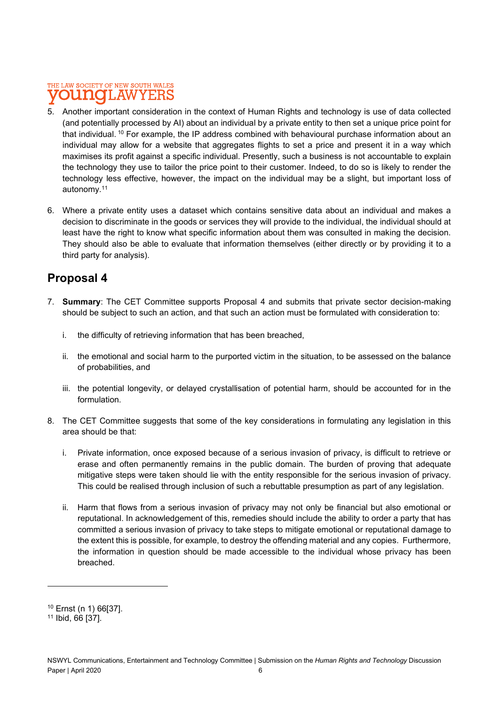- 5. Another important consideration in the context of Human Rights and technology is use of data collected (and potentially processed by AI) about an individual by a private entity to then set a unique price point for that individual.<sup>10</sup> For example, the IP address combined with behavioural purchase information about an individual may allow for a website that aggregates flights to set a price and present it in a way which maximises its profit against a specific individual. Presently, such a business is not accountable to explain the technology they use to tailor the price point to their customer. Indeed, to do so is likely to render the technology less effective, however, the impact on the individual may be a slight, but important loss of autonomy.<sup>11</sup>
- 6. Where a private entity uses a dataset which contains sensitive data about an individual and makes a decision to discriminate in the goods or services they will provide to the individual, the individual should at least have the right to know what specific information about them was consulted in making the decision. They should also be able to evaluate that information themselves (either directly or by providing it to a third party for analysis).

### Proposal 4

- 7. Summary: The CET Committee supports Proposal 4 and submits that private sector decision-making should be subject to such an action, and that such an action must be formulated with consideration to:
	- i. the difficulty of retrieving information that has been breached,
	- ii. the emotional and social harm to the purported victim in the situation, to be assessed on the balance of probabilities, and
	- iii. the potential longevity, or delayed crystallisation of potential harm, should be accounted for in the formulation.
- 8. The CET Committee suggests that some of the key considerations in formulating any legislation in this area should be that:
	- i. Private information, once exposed because of a serious invasion of privacy, is difficult to retrieve or erase and often permanently remains in the public domain. The burden of proving that adequate mitigative steps were taken should lie with the entity responsible for the serious invasion of privacy. This could be realised through inclusion of such a rebuttable presumption as part of any legislation.
	- ii. Harm that flows from a serious invasion of privacy may not only be financial but also emotional or reputational. In acknowledgement of this, remedies should include the ability to order a party that has committed a serious invasion of privacy to take steps to mitigate emotional or reputational damage to the extent this is possible, for example, to destroy the offending material and any copies. Furthermore, the information in question should be made accessible to the individual whose privacy has been breached.

<sup>10</sup> Ernst (n 1) 66[37].

<sup>11</sup> Ibid, 66 [37].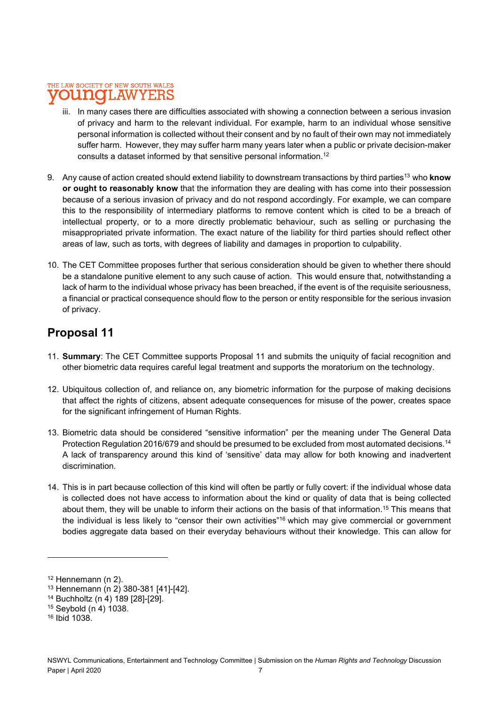- iii. In many cases there are difficulties associated with showing a connection between a serious invasion of privacy and harm to the relevant individual. For example, harm to an individual whose sensitive personal information is collected without their consent and by no fault of their own may not immediately suffer harm. However, they may suffer harm many years later when a public or private decision-maker consults a dataset informed by that sensitive personal information.<sup>12</sup>
- 9. Any cause of action created should extend liability to downstream transactions by third parties<sup>13</sup> who know or ought to reasonably know that the information they are dealing with has come into their possession because of a serious invasion of privacy and do not respond accordingly. For example, we can compare this to the responsibility of intermediary platforms to remove content which is cited to be a breach of intellectual property, or to a more directly problematic behaviour, such as selling or purchasing the misappropriated private information. The exact nature of the liability for third parties should reflect other areas of law, such as torts, with degrees of liability and damages in proportion to culpability.
- 10. The CET Committee proposes further that serious consideration should be given to whether there should be a standalone punitive element to any such cause of action. This would ensure that, notwithstanding a lack of harm to the individual whose privacy has been breached, if the event is of the requisite seriousness, a financial or practical consequence should flow to the person or entity responsible for the serious invasion of privacy.

### Proposal 11

- 11. Summary: The CET Committee supports Proposal 11 and submits the uniquity of facial recognition and other biometric data requires careful legal treatment and supports the moratorium on the technology.
- 12. Ubiquitous collection of, and reliance on, any biometric information for the purpose of making decisions that affect the rights of citizens, absent adequate consequences for misuse of the power, creates space for the significant infringement of Human Rights.
- 13. Biometric data should be considered "sensitive information" per the meaning under The General Data Protection Regulation 2016/679 and should be presumed to be excluded from most automated decisions.<sup>14</sup> A lack of transparency around this kind of 'sensitive' data may allow for both knowing and inadvertent discrimination.
- 14. This is in part because collection of this kind will often be partly or fully covert: if the individual whose data is collected does not have access to information about the kind or quality of data that is being collected about them, they will be unable to inform their actions on the basis of that information.<sup>15</sup> This means that the individual is less likely to "censor their own activities"<sup>16</sup> which may give commercial or government bodies aggregate data based on their everyday behaviours without their knowledge. This can allow for

 $12$  Hennemann (n 2).

<sup>13</sup> Hennemann (n 2) 380-381 [41]-[42].

<sup>14</sup> Buchholtz (n 4) 189 [28]-[29].

<sup>15</sup> Seybold (n 4) 1038.

<sup>16</sup> Ibid 1038.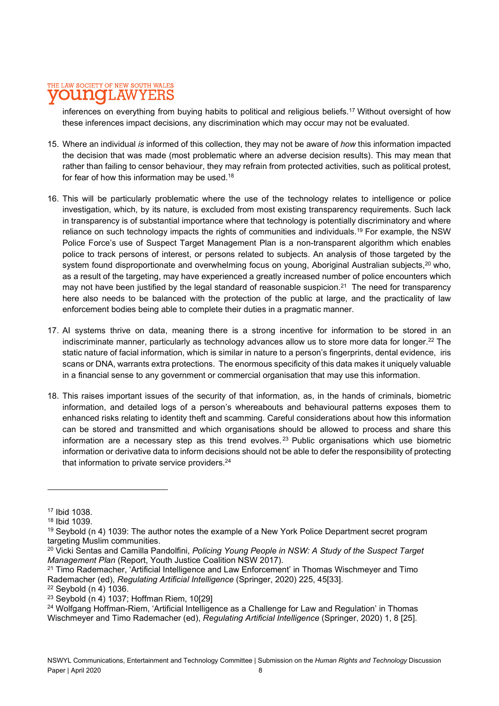inferences on everything from buying habits to political and religious beliefs.<sup>17</sup> Without oversight of how these inferences impact decisions, any discrimination which may occur may not be evaluated.

- 15. Where an individual is informed of this collection, they may not be aware of how this information impacted the decision that was made (most problematic where an adverse decision results). This may mean that rather than failing to censor behaviour, they may refrain from protected activities, such as political protest, for fear of how this information may be used.<sup>18</sup>
- 16. This will be particularly problematic where the use of the technology relates to intelligence or police investigation, which, by its nature, is excluded from most existing transparency requirements. Such lack in transparency is of substantial importance where that technology is potentially discriminatory and where reliance on such technology impacts the rights of communities and individuals.<sup>19</sup> For example, the NSW Police Force's use of Suspect Target Management Plan is a non-transparent algorithm which enables police to track persons of interest, or persons related to subjects. An analysis of those targeted by the system found disproportionate and overwhelming focus on young. Aboriginal Australian subjects, <sup>20</sup> who, as a result of the targeting, may have experienced a greatly increased number of police encounters which may not have been justified by the legal standard of reasonable suspicion.<sup>21</sup> The need for transparency here also needs to be balanced with the protection of the public at large, and the practicality of law enforcement bodies being able to complete their duties in a pragmatic manner.
- 17. AI systems thrive on data, meaning there is a strong incentive for information to be stored in an indiscriminate manner, particularly as technology advances allow us to store more data for longer.<sup>22</sup> The static nature of facial information, which is similar in nature to a person's fingerprints, dental evidence, iris scans or DNA, warrants extra protections. The enormous specificity of this data makes it uniquely valuable in a financial sense to any government or commercial organisation that may use this information.
- 18. This raises important issues of the security of that information, as, in the hands of criminals, biometric information, and detailed logs of a person's whereabouts and behavioural patterns exposes them to enhanced risks relating to identity theft and scamming. Careful considerations about how this information can be stored and transmitted and which organisations should be allowed to process and share this information are a necessary step as this trend evolves.<sup>23</sup> Public organisations which use biometric information or derivative data to inform decisions should not be able to defer the responsibility of protecting that information to private service providers.<sup>24</sup>

<sup>17</sup> Ibid 1038.

<sup>18</sup> Ibid 1039.

<sup>19</sup> Seybold (n 4) 1039: The author notes the example of a New York Police Department secret program targeting Muslim communities.

<sup>&</sup>lt;sup>20</sup> Vicki Sentas and Camilla Pandolfini, Policing Young People in NSW: A Study of the Suspect Target Management Plan (Report, Youth Justice Coalition NSW 2017).

<sup>21</sup> Timo Rademacher, 'Artificial Intelligence and Law Enforcement' in Thomas Wischmeyer and Timo Rademacher (ed), Regulating Artificial Intelligence (Springer, 2020) 225, 45[33].

<sup>22</sup> Seybold (n 4) 1036.

<sup>23</sup> Seybold (n 4) 1037; Hoffman Riem, 10[29]

<sup>&</sup>lt;sup>24</sup> Wolfgang Hoffman-Riem, 'Artificial Intelligence as a Challenge for Law and Regulation' in Thomas Wischmeyer and Timo Rademacher (ed), Regulating Artificial Intelligence (Springer, 2020) 1, 8 [25].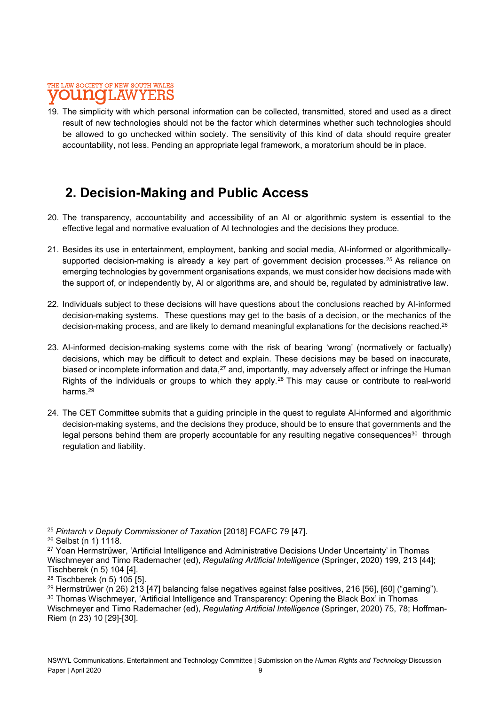#### THE LAW SOCIETY OF NEW SOUTH WALES **OUINOI** AW YE:RS

19. The simplicity with which personal information can be collected, transmitted, stored and used as a direct result of new technologies should not be the factor which determines whether such technologies should be allowed to go unchecked within society. The sensitivity of this kind of data should require greater accountability, not less. Pending an appropriate legal framework, a moratorium should be in place.

# 2. Decision-Making and Public Access

- 20. The transparency, accountability and accessibility of an AI or algorithmic system is essential to the effective legal and normative evaluation of AI technologies and the decisions they produce.
- 21. Besides its use in entertainment, employment, banking and social media, AI-informed or algorithmicallysupported decision-making is already a key part of government decision processes.<sup>25</sup> As reliance on emerging technologies by government organisations expands, we must consider how decisions made with the support of, or independently by, AI or algorithms are, and should be, regulated by administrative law.
- 22. Individuals subject to these decisions will have questions about the conclusions reached by AI-informed decision-making systems. These questions may get to the basis of a decision, or the mechanics of the decision-making process, and are likely to demand meaningful explanations for the decisions reached.<sup>26</sup>
- 23. AI-informed decision-making systems come with the risk of bearing 'wrong' (normatively or factually) decisions, which may be difficult to detect and explain. These decisions may be based on inaccurate, biased or incomplete information and data,<sup>27</sup> and, importantly, may adversely affect or infringe the Human Rights of the individuals or groups to which they apply.<sup>28</sup> This may cause or contribute to real-world harms.<sup>29</sup>
- 24. The CET Committee submits that a guiding principle in the quest to regulate AI-informed and algorithmic decision-making systems, and the decisions they produce, should be to ensure that governments and the legal persons behind them are properly accountable for any resulting negative consequences<sup>30</sup> through regulation and liability.

<sup>&</sup>lt;sup>25</sup> Pintarch v Deputy Commissioner of Taxation [2018] FCAFC 79 [47].

<sup>26</sup> Selbst (n 1) 1118.

<sup>&</sup>lt;sup>27</sup> Yoan Hermstrüwer, 'Artificial Intelligence and Administrative Decisions Under Uncertainty' in Thomas Wischmeyer and Timo Rademacher (ed), Regulating Artificial Intelligence (Springer, 2020) 199, 213 [44]; Tischberek (n 5) 104 [4].

<sup>28</sup> Tischberek (n 5) 105 [5].

<sup>29</sup> Hermstrüwer (n 26) 213 [47] balancing false negatives against false positives, 216 [56], [60] ("gaming").

<sup>30</sup> Thomas Wischmeyer, 'Artificial Intelligence and Transparency: Opening the Black Box' in Thomas

Wischmeyer and Timo Rademacher (ed), Regulating Artificial Intelligence (Springer, 2020) 75, 78; Hoffman-Riem (n 23) 10 [29]-[30].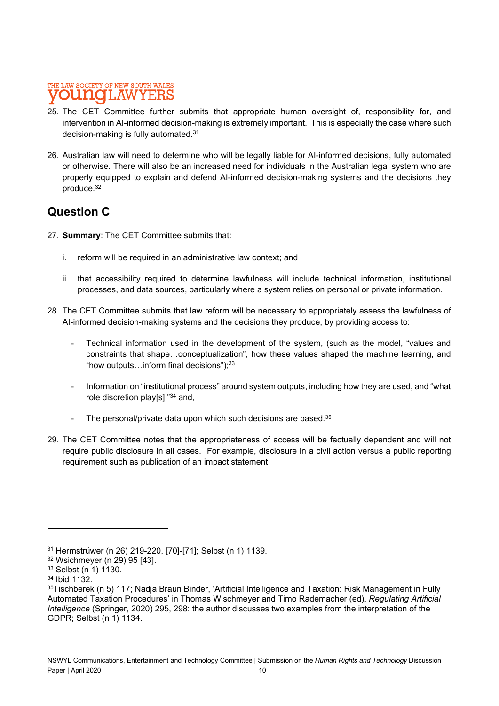- 25. The CET Committee further submits that appropriate human oversight of, responsibility for, and intervention in AI-informed decision-making is extremely important. This is especially the case where such decision-making is fully automated.<sup>31</sup>
- 26. Australian law will need to determine who will be legally liable for AI-informed decisions, fully automated or otherwise. There will also be an increased need for individuals in the Australian legal system who are properly equipped to explain and defend AI-informed decision-making systems and the decisions they produce.<sup>32</sup>

### Question C

- 27. **Summary:** The CET Committee submits that:
	- i. reform will be required in an administrative law context; and
	- ii. that accessibility required to determine lawfulness will include technical information, institutional processes, and data sources, particularly where a system relies on personal or private information.
- 28. The CET Committee submits that law reform will be necessary to appropriately assess the lawfulness of AI-informed decision-making systems and the decisions they produce, by providing access to:
	- Technical information used in the development of the system, (such as the model, "values and constraints that shape…conceptualization", how these values shaped the machine learning, and "how outputs…inform final decisions"); $^{33}$
	- Information on "institutional process" around system outputs, including how they are used, and "what role discretion play[s];"<sup>34</sup> and,
	- The personal/private data upon which such decisions are based.<sup>35</sup>
- 29. The CET Committee notes that the appropriateness of access will be factually dependent and will not require public disclosure in all cases. For example, disclosure in a civil action versus a public reporting requirement such as publication of an impact statement.

<sup>31</sup> Hermstrüwer (n 26) 219-220, [70]-[71]; Selbst (n 1) 1139.

<sup>32</sup> Wsichmeyer (n 29) 95 [43].

<sup>33</sup> Selbst (n 1) 1130.

<sup>34</sup> Ibid 1132.

<sup>35</sup>Tischberek (n 5) 117; Nadja Braun Binder, 'Artificial Intelligence and Taxation: Risk Management in Fully Automated Taxation Procedures' in Thomas Wischmeyer and Timo Rademacher (ed), Regulating Artificial Intelligence (Springer, 2020) 295, 298: the author discusses two examples from the interpretation of the GDPR; Selbst (n 1) 1134.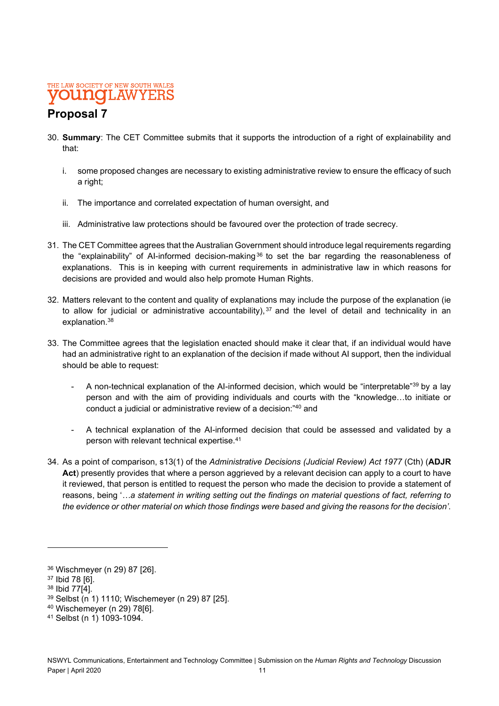# Proposal 7

- 30. Summary: The CET Committee submits that it supports the introduction of a right of explainability and that:
	- i. some proposed changes are necessary to existing administrative review to ensure the efficacy of such a right:
	- ii. The importance and correlated expectation of human oversight, and
	- iii. Administrative law protections should be favoured over the protection of trade secrecy.
- 31. The CET Committee agrees that the Australian Government should introduce legal requirements regarding the "explainability" of AI-informed decision-making<sup>36</sup> to set the bar regarding the reasonableness of explanations. This is in keeping with current requirements in administrative law in which reasons for decisions are provided and would also help promote Human Rights.
- 32. Matters relevant to the content and quality of explanations may include the purpose of the explanation (ie to allow for judicial or administrative accountability),  $37$  and the level of detail and technicality in an explanation.<sup>38</sup>
- 33. The Committee agrees that the legislation enacted should make it clear that, if an individual would have had an administrative right to an explanation of the decision if made without AI support, then the individual should be able to request:
	- A non-technical explanation of the AI-informed decision, which would be "interpretable"<sup>39</sup> by a lay person and with the aim of providing individuals and courts with the "knowledge…to initiate or conduct a judicial or administrative review of a decision:"<sup>40</sup> and
	- A technical explanation of the AI-informed decision that could be assessed and validated by a person with relevant technical expertise.<sup>41</sup>
- 34. As a point of comparison, s13(1) of the Administrative Decisions (Judicial Review) Act 1977 (Cth) (ADJR Act) presently provides that where a person aggrieved by a relevant decision can apply to a court to have it reviewed, that person is entitled to request the person who made the decision to provide a statement of reasons, being '…a statement in writing setting out the findings on material questions of fact, referring to the evidence or other material on which those findings were based and giving the reasons for the decision'.

<sup>36</sup> Wischmeyer (n 29) 87 [26].

<sup>37</sup> Ibid 78 [6].

<sup>38</sup> Ibid 77[4].

<sup>39</sup> Selbst (n 1) 1110; Wischemeyer (n 29) 87 [25].

<sup>40</sup> Wischemeyer (n 29) 78[6].

<sup>41</sup> Selbst (n 1) 1093-1094.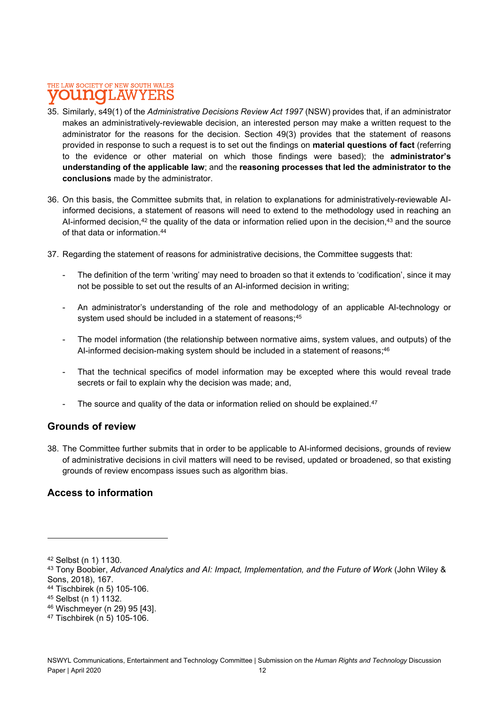- 35. Similarly, s49(1) of the Administrative Decisions Review Act 1997 (NSW) provides that, if an administrator makes an administratively-reviewable decision, an interested person may make a written request to the administrator for the reasons for the decision. Section 49(3) provides that the statement of reasons provided in response to such a request is to set out the findings on material questions of fact (referring to the evidence or other material on which those findings were based); the administrator's understanding of the applicable law; and the reasoning processes that led the administrator to the conclusions made by the administrator.
- 36. On this basis, the Committee submits that, in relation to explanations for administratively-reviewable AIinformed decisions, a statement of reasons will need to extend to the methodology used in reaching an AI-informed decision,<sup>42</sup> the quality of the data or information relied upon in the decision.<sup>43</sup> and the source of that data or information.<sup>44</sup>
- 37. Regarding the statement of reasons for administrative decisions, the Committee suggests that:
	- The definition of the term 'writing' may need to broaden so that it extends to 'codification', since it may not be possible to set out the results of an AI-informed decision in writing;
	- An administrator's understanding of the role and methodology of an applicable AI-technology or system used should be included in a statement of reasons;<sup>45</sup>
	- The model information (the relationship between normative aims, system values, and outputs) of the AI-informed decision-making system should be included in a statement of reasons; $^{46}$
	- That the technical specifics of model information may be excepted where this would reveal trade secrets or fail to explain why the decision was made; and,
	- The source and quality of the data or information relied on should be explained. $47$

#### Grounds of review

38. The Committee further submits that in order to be applicable to AI-informed decisions, grounds of review of administrative decisions in civil matters will need to be revised, updated or broadened, so that existing grounds of review encompass issues such as algorithm bias.

#### Access to information

<sup>42</sup> Selbst (n 1) 1130.

<sup>43</sup> Tony Boobier, Advanced Analytics and AI: Impact, Implementation, and the Future of Work (John Wiley & Sons, 2018), 167.

<sup>44</sup> Tischbirek (n 5) 105-106.

<sup>45</sup> Selbst (n 1) 1132.

<sup>46</sup> Wischmeyer (n 29) 95 [43].

<sup>47</sup> Tischbirek (n 5) 105-106.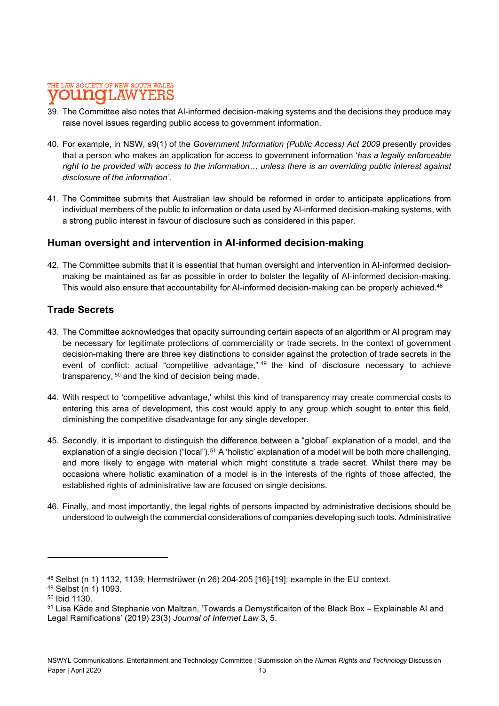- 39. The Committee also notes that AI-informed decision-making systems and the decisions they produce may raise novel issues regarding public access to government information.
- 40. For example, in NSW, s9(1) of the Government Information (Public Access) Act 2009 presently provides that a person who makes an application for access to government information 'has a legally enforceable right to be provided with access to the information… unless there is an overriding public interest against disclosure of the information'.
- 41. The Committee submits that Australian law should be reformed in order to anticipate applications from individual members of the public to information or data used by AI-informed decision-making systems, with a strong public interest in favour of disclosure such as considered in this paper.

#### Human oversight and intervention in AI-informed decision-making

42. The Committee submits that it is essential that human oversight and intervention in AI-informed decisionmaking be maintained as far as possible in order to bolster the legality of AI-informed decision-making. This would also ensure that accountability for AI-informed decision-making can be properly achieved.<sup>48</sup>

#### Trade Secrets

- 43. The Committee acknowledges that opacity surrounding certain aspects of an algorithm or AI program may be necessary for legitimate protections of commerciality or trade secrets. In the context of government decision-making there are three key distinctions to consider against the protection of trade secrets in the event of conflict: actual "competitive advantage," <sup>49</sup> the kind of disclosure necessary to achieve transparency, <sup>50</sup> and the kind of decision being made.
- 44. With respect to 'competitive advantage,' whilst this kind of transparency may create commercial costs to entering this area of development, this cost would apply to any group which sought to enter this field, diminishing the competitive disadvantage for any single developer.
- 45. Secondly, it is important to distinguish the difference between a "global" explanation of a model, and the explanation of a single decision ("local").<sup>51</sup> A 'holistic' explanation of a model will be both more challenging, and more likely to engage with material which might constitute a trade secret. Whilst there may be occasions where holistic examination of a model is in the interests of the rights of those affected, the established rights of administrative law are focused on single decisions.
- 46. Finally, and most importantly, the legal rights of persons impacted by administrative decisions should be understood to outweigh the commercial considerations of companies developing such tools. Administrative

<sup>48</sup> Selbst (n 1) 1132, 1139; Hermstrüwer (n 26) 204-205 [16]-[19]: example in the EU context.

<sup>49</sup> Selbst (n 1) 1093.

<sup>50</sup> Ibid 1130.

<sup>51</sup> Lisa Käde and Stephanie von Maltzan, 'Towards a Demystificaiton of the Black Box – Explainable AI and Legal Ramifications' (2019) 23(3) Journal of Internet Law 3, 5.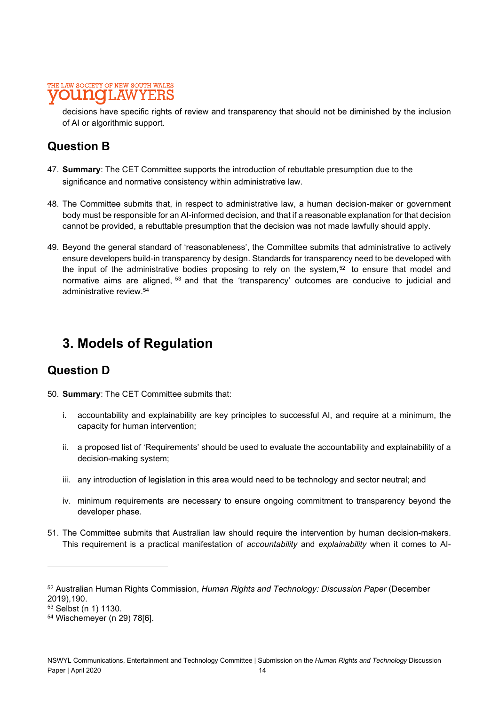decisions have specific rights of review and transparency that should not be diminished by the inclusion of AI or algorithmic support.

### Question B

- 47. Summary: The CET Committee supports the introduction of rebuttable presumption due to the significance and normative consistency within administrative law.
- 48. The Committee submits that, in respect to administrative law, a human decision-maker or government body must be responsible for an AI-informed decision, and that if a reasonable explanation for that decision cannot be provided, a rebuttable presumption that the decision was not made lawfully should apply.
- 49. Beyond the general standard of 'reasonableness', the Committee submits that administrative to actively ensure developers build-in transparency by design. Standards for transparency need to be developed with the input of the administrative bodies proposing to rely on the system, $52$  to ensure that model and normative aims are aligned, <sup>53</sup> and that the 'transparency' outcomes are conducive to judicial and administrative review.<sup>54</sup>

# 3. Models of Regulation

### Question D

- 50. Summary: The CET Committee submits that:
	- i. accountability and explainability are key principles to successful AI, and require at a minimum, the capacity for human intervention;
	- ii. a proposed list of 'Requirements' should be used to evaluate the accountability and explainability of a decision-making system;
	- iii. any introduction of legislation in this area would need to be technology and sector neutral; and
	- iv. minimum requirements are necessary to ensure ongoing commitment to transparency beyond the developer phase.
- 51. The Committee submits that Australian law should require the intervention by human decision-makers. This requirement is a practical manifestation of accountability and explainability when it comes to AI-

<sup>52</sup> Australian Human Rights Commission, Human Rights and Technology: Discussion Paper (December 2019),190.

<sup>53</sup> Selbst (n 1) 1130.

<sup>54</sup> Wischemeyer (n 29) 78[6].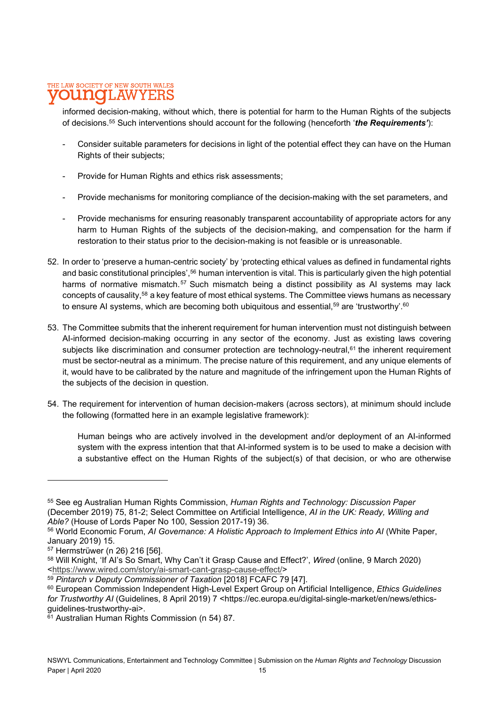informed decision-making, without which, there is potential for harm to the Human Rights of the subjects of decisions.<sup>55</sup> Such interventions should account for the following (henceforth '*the Requirements'*):<br>- Consider suitable parameters for decisions in light of the potential effect they can have on the Human

- 
- 
- 
- Rights of their subjects;<br>- Provide for Human Rights and ethics risk assessments;<br>- Provide mechanisms for monitoring compliance of the decision-making with the set parameters, and<br>- Provide mechanisms for ensuring reasona harm to Human Rights of the subjects of the decision-making, and compensation for the harm if restoration to their status prior to the decision-making is not feasible or is unreasonable.
- 52. In order to 'preserve a human-centric society' by 'protecting ethical values as defined in fundamental rights and basic constitutional principles',<sup>56</sup> human intervention is vital. This is particularly given the high potential harms of normative mismatch.<sup>57</sup> Such mismatch being a distinct possibility as AI systems may lack concepts of causality,58 a key feature of most ethical systems. The Committee views humans as necessary to ensure AI systems, which are becoming both ubiquitous and essential,<sup>59</sup> are 'trustworthy'.<sup>60</sup>
- 53. The Committee submits that the inherent requirement for human intervention must not distinguish between AI-informed decision-making occurring in any sector of the economy. Just as existing laws covering subjects like discrimination and consumer protection are technology-neutral,<sup>61</sup> the inherent requirement must be sector-neutral as a minimum. The precise nature of this requirement, and any unique elements of it, would have to be calibrated by the nature and magnitude of the infringement upon the Human Rights of the subjects of the decision in question.
- 54. The requirement for intervention of human decision-makers (across sectors), at minimum should include the following (formatted here in an example legislative framework):

Human beings who are actively involved in the development and/or deployment of an AI-informed system with the express intention that that AI-informed system is to be used to make a decision with a substantive effect on the Human Rights of the subject(s) of that decision, or who are otherwise

<sup>55</sup> See eg Australian Human Rights Commission, Human Rights and Technology: Discussion Paper (December 2019) 75, 81-2; Select Committee on Artificial Intelligence, AI in the UK: Ready, Willing and Able? (House of Lords Paper No 100, Session 2017-19) 36.

<sup>56</sup> World Economic Forum, AI Governance: A Holistic Approach to Implement Ethics into AI (White Paper, January 2019) 15.

<sup>57</sup> Hermstrüwer (n 26) 216 [56].

<sup>58</sup> Will Knight, 'If AI's So Smart, Why Can't it Grasp Cause and Effect?', Wired (online, 9 March 2020) <https://www.wired.com/story/ai-smart-cant-grasp-cause-effect/>

<sup>59</sup> Pintarch v Deputy Commissioner of Taxation [2018] FCAFC 79 [47].

<sup>60</sup> European Commission Independent High-Level Expert Group on Artificial Intelligence, Ethics Guidelines for Trustworthy AI (Guidelines, 8 April 2019) 7 <https://ec.europa.eu/digital-single-market/en/news/ethicsguidelines-trustworthy-ai>.

<sup>61</sup> Australian Human Rights Commission (n 54) 87.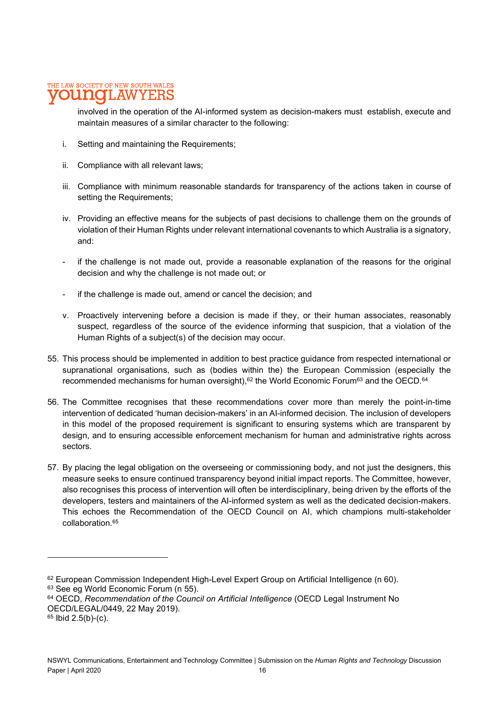involved in the operation of the AI-informed system as decision-makers must establish, execute and maintain measures of a similar character to the following:

- i. Setting and maintaining the Requirements;
- ii. Compliance with all relevant laws;
- iii. Compliance with minimum reasonable standards for transparency of the actions taken in course of setting the Requirements;
- iv. Providing an effective means for the subjects of past decisions to challenge them on the grounds of violation of their Human Rights under relevant international covenants to which Australia is a signatory, and:
- if the challenge is not made out, provide a reasonable explanation of the reasons for the original decision and why the challenge is not made out; or
- if the challenge is made out, amend or cancel the decision; and
- v. Proactively intervening before a decision is made if they, or their human associates, reasonably suspect, regardless of the source of the evidence informing that suspicion, that a violation of the Human Rights of a subject(s) of the decision may occur.
- 55. This process should be implemented in addition to best practice guidance from respected international or supranational organisations, such as (bodies within the) the European Commission (especially the recommended mechanisms for human oversight),<sup>62</sup> the World Economic Forum<sup>63</sup> and the OECD.<sup>64</sup>
- 56. The Committee recognises that these recommendations cover more than merely the point-in-time intervention of dedicated 'human decision-makers' in an AI-informed decision. The inclusion of developers in this model of the proposed requirement is significant to ensuring systems which are transparent by design, and to ensuring accessible enforcement mechanism for human and administrative rights across sectors.
- 57. By placing the legal obligation on the overseeing or commissioning body, and not just the designers, this measure seeks to ensure continued transparency beyond initial impact reports. The Committee, however, also recognises this process of intervention will often be interdisciplinary, being driven by the efforts of the developers, testers and maintainers of the AI-informed system as well as the dedicated decision-makers. This echoes the Recommendation of the OECD Council on AI, which champions multi-stakeholder collaboration.65

<sup>62</sup> European Commission Independent High-Level Expert Group on Artificial Intelligence (n 60).

<sup>63</sup> See eg World Economic Forum (n 55).

<sup>64</sup> OECD, Recommendation of the Council on Artificial Intelligence (OECD Legal Instrument No OECD/LEGAL/0449, 22 May 2019).

 $65$  Ibid 2.5(b)-(c).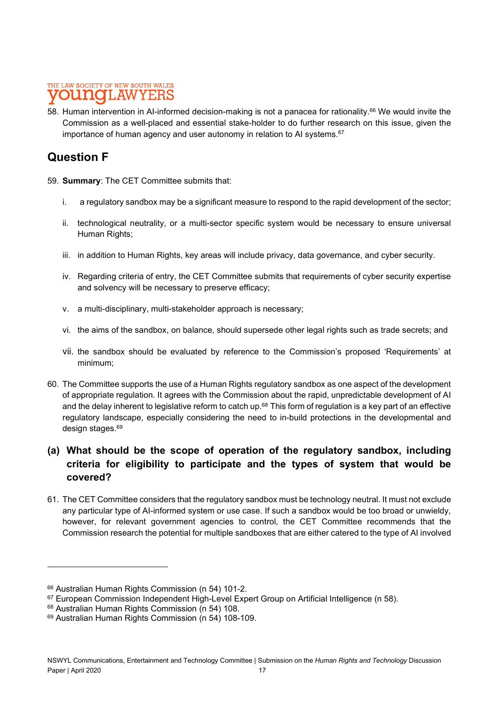58. Human intervention in AI-informed decision-making is not a panacea for rationality.66 We would invite the Commission as a well-placed and essential stake-holder to do further research on this issue, given the importance of human agency and user autonomy in relation to AI systems.<sup>67</sup>

### Question F

- 59. Summary: The CET Committee submits that:
	- i. a regulatory sandbox may be a significant measure to respond to the rapid development of the sector;
	- ii. technological neutrality, or a multi-sector specific system would be necessary to ensure universal Human Rights;
	- iii. in addition to Human Rights, key areas will include privacy, data governance, and cyber security.
	- iv. Regarding criteria of entry, the CET Committee submits that requirements of cyber security expertise and solvency will be necessary to preserve efficacy;
	- v. a multi-disciplinary, multi-stakeholder approach is necessary;
	- vi. the aims of the sandbox, on balance, should supersede other legal rights such as trade secrets; and
	- vii. the sandbox should be evaluated by reference to the Commission's proposed 'Requirements' at minimum;
- 60. The Committee supports the use of a Human Rights regulatory sandbox as one aspect of the development of appropriate regulation. It agrees with the Commission about the rapid, unpredictable development of AI and the delay inherent to legislative reform to catch up.<sup>68</sup> This form of regulation is a key part of an effective regulatory landscape, especially considering the need to in-build protections in the developmental and design stages.<sup>69</sup> and the stage of the stage of the stage of the stage of the stage of the stage of the stage o

### (a) What should be the scope of operation of the regulatory sandbox, including criteria for eligibility to participate and the types of system that would be covered?

61. The CET Committee considers that the regulatory sandbox must be technology neutral. It must not exclude any particular type of AI-informed system or use case. If such a sandbox would be too broad or unwieldy, however, for relevant government agencies to control, the CET Committee recommends that the Commission research the potential for multiple sandboxes that are either catered to the type of AI involved

<sup>66</sup> Australian Human Rights Commission (n 54) 101-2.

<sup>67</sup> European Commission Independent High-Level Expert Group on Artificial Intelligence (n 58).

<sup>68</sup> Australian Human Rights Commission (n 54) 108.

<sup>69</sup> Australian Human Rights Commission (n 54) 108-109.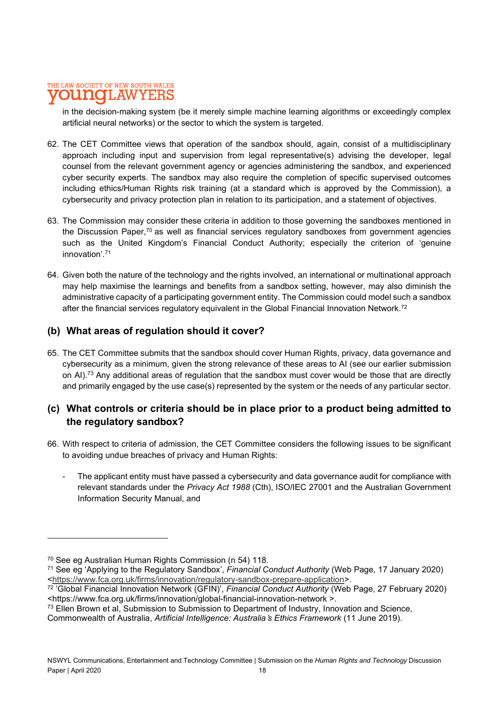in the decision-making system (be it merely simple machine learning algorithms or exceedingly complex artificial neural networks) or the sector to which the system is targeted.

- 62. The CET Committee views that operation of the sandbox should, again, consist of a multidisciplinary approach including input and supervision from legal representative(s) advising the developer, legal counsel from the relevant government agency or agencies administering the sandbox, and experienced cyber security experts. The sandbox may also require the completion of specific supervised outcomes including ethics/Human Rights risk training (at a standard which is approved by the Commission), a cybersecurity and privacy protection plan in relation to its participation, and a statement of objectives.
- 63. The Commission may consider these criteria in addition to those governing the sandboxes mentioned in the Discussion Paper, $70$  as well as financial services regulatory sandboxes from government agencies such as the United Kingdom's Financial Conduct Authority; especially the criterion of 'genuine innovation'.71
- 64. Given both the nature of the technology and the rights involved, an international or multinational approach may help maximise the learnings and benefits from a sandbox setting, however, may also diminish the administrative capacity of a participating government entity. The Commission could model such a sandbox after the financial services regulatory equivalent in the Global Financial Innovation Network.<sup>72</sup>

### (b) What areas of regulation should it cover?

65. The CET Committee submits that the sandbox should cover Human Rights, privacy, data governance and cybersecurity as a minimum, given the strong relevance of these areas to AI (see our earlier submission on AI).<sup>73</sup> Any additional areas of regulation that the sandbox must cover would be those that are directly and primarily engaged by the use case(s) represented by the system or the needs of any particular sector.

### (c) What controls or criteria should be in place prior to a product being admitted to the regulatory sandbox?

- 66. With respect to criteria of admission, the CET Committee considers the following issues to be significant
	- to avoiding undue breaches of privacy and Human Rights:<br>- The applicant entity must have passed a cybersecurity and data governance audit for compliance with relevant standards under the Privacy Act 1988 (Cth), ISO/IEC 27001 and the Australian Government Information Security Manual, and

<sup>73</sup> Ellen Brown et al, Submission to Submission to Department of Industry, Innovation and Science,

<sup>70</sup> See eg Australian Human Rights Commission (n 54) 118.

<sup>71</sup> See eg 'Applying to the Regulatory Sandbox', Financial Conduct Authority (Web Page, 17 January 2020) <https://www.fca.org.uk/firms/innovation/regulatory-sandbox-prepare-application>.

<sup>&</sup>lt;sup>72</sup> 'Global Financial Innovation Network (GFIN)', Financial Conduct Authority (Web Page, 27 February 2020) <https://www.fca.org.uk/firms/innovation/global-financial-innovation-network >.

Commonwealth of Australia, Artificial Intelligence: Australia's Ethics Framework (11 June 2019).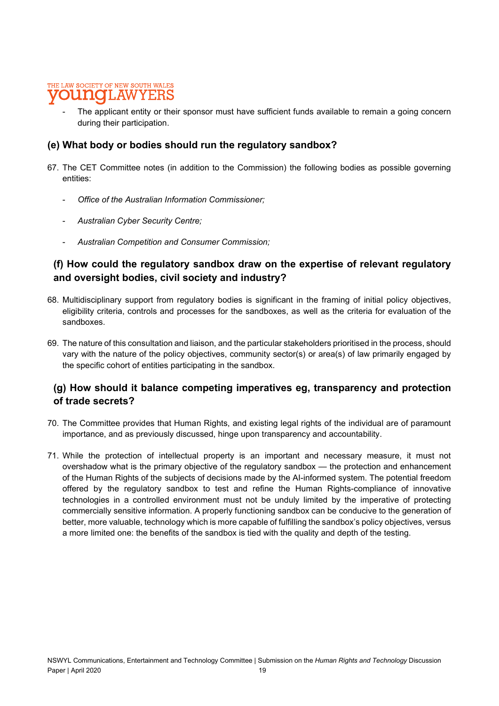The applicant entity or their sponsor must have sufficient funds available to remain a going concern during their participation.

#### (e) What body or bodies should run the regulatory sandbox?

- 67. The CET Committee notes (in addition to the Commission) the following bodies as possible governing entities:
	- Office of the Australian Information Commissioner:
	- Australian Cyber Security Centre;
	- Australian Competition and Consumer Commission;

### (f) How could the regulatory sandbox draw on the expertise of relevant regulatory and oversight bodies, civil society and industry?

- 68. Multidisciplinary support from regulatory bodies is significant in the framing of initial policy objectives, eligibility criteria, controls and processes for the sandboxes, as well as the criteria for evaluation of the sandboxes.
- 69. The nature of this consultation and liaison, and the particular stakeholders prioritised in the process, should vary with the nature of the policy objectives, community sector(s) or area(s) of law primarily engaged by the specific cohort of entities participating in the sandbox.

### (g) How should it balance competing imperatives eg, transparency and protection of trade secrets?

- 70. The Committee provides that Human Rights, and existing legal rights of the individual are of paramount importance, and as previously discussed, hinge upon transparency and accountability.
- 71. While the protection of intellectual property is an important and necessary measure, it must not overshadow what is the primary objective of the regulatory sandbox — the protection and enhancement of the Human Rights of the subjects of decisions made by the AI-informed system. The potential freedom offered by the regulatory sandbox to test and refine the Human Rights-compliance of innovative technologies in a controlled environment must not be unduly limited by the imperative of protecting commercially sensitive information. A properly functioning sandbox can be conducive to the generation of better, more valuable, technology which is more capable of fulfilling the sandbox's policy objectives, versus a more limited one: the benefits of the sandbox is tied with the quality and depth of the testing.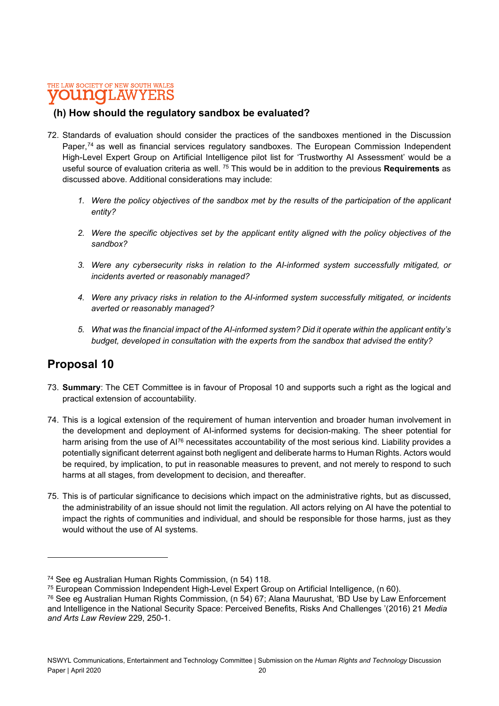### (h) How should the regulatory sandbox be evaluated?

- 72. Standards of evaluation should consider the practices of the sandboxes mentioned in the Discussion Paper,<sup>74</sup> as well as financial services regulatory sandboxes. The European Commission Independent High-Level Expert Group on Artificial Intelligence pilot list for 'Trustworthy AI Assessment' would be a useful source of evaluation criteria as well. <sup>75</sup> This would be in addition to the previous Requirements as discussed above. Additional considerations may include:
	- 1. Were the policy objectives of the sandbox met by the results of the participation of the applicant entity?
	- 2. Were the specific objectives set by the applicant entity aligned with the policy objectives of the sandbox?
	- 3. Were any cybersecurity risks in relation to the AI-informed system successfully mitigated, or incidents averted or reasonably managed?
	- 4. Were any privacy risks in relation to the AI-informed system successfully mitigated, or incidents averted or reasonably managed?
	- 5. What was the financial impact of the AI-informed system? Did it operate within the applicant entity's budget, developed in consultation with the experts from the sandbox that advised the entity?

### Proposal 10

- 73. Summary: The CET Committee is in favour of Proposal 10 and supports such a right as the logical and practical extension of accountability.
- 74. This is a logical extension of the requirement of human intervention and broader human involvement in the development and deployment of AI-informed systems for decision-making. The sheer potential for harm arising from the use of AI<sup>76</sup> necessitates accountability of the most serious kind. Liability provides a potentially significant deterrent against both negligent and deliberate harms to Human Rights. Actors would be required, by implication, to put in reasonable measures to prevent, and not merely to respond to such harms at all stages, from development to decision, and thereafter.
- 75. This is of particular significance to decisions which impact on the administrative rights, but as discussed, the administrability of an issue should not limit the regulation. All actors relying on AI have the potential to impact the rights of communities and individual, and should be responsible for those harms, just as they would without the use of AI systems.

<sup>74</sup> See eg Australian Human Rights Commission, (n 54) 118.

<sup>75</sup> European Commission Independent High-Level Expert Group on Artificial Intelligence, (n 60).

<sup>76</sup> See eg Australian Human Rights Commission, (n 54) 67; Alana Maurushat, 'BD Use by Law Enforcement and Intelligence in the National Security Space: Perceived Benefits, Risks And Challenges '(2016) 21 Media and Arts Law Review 229, 250-1.